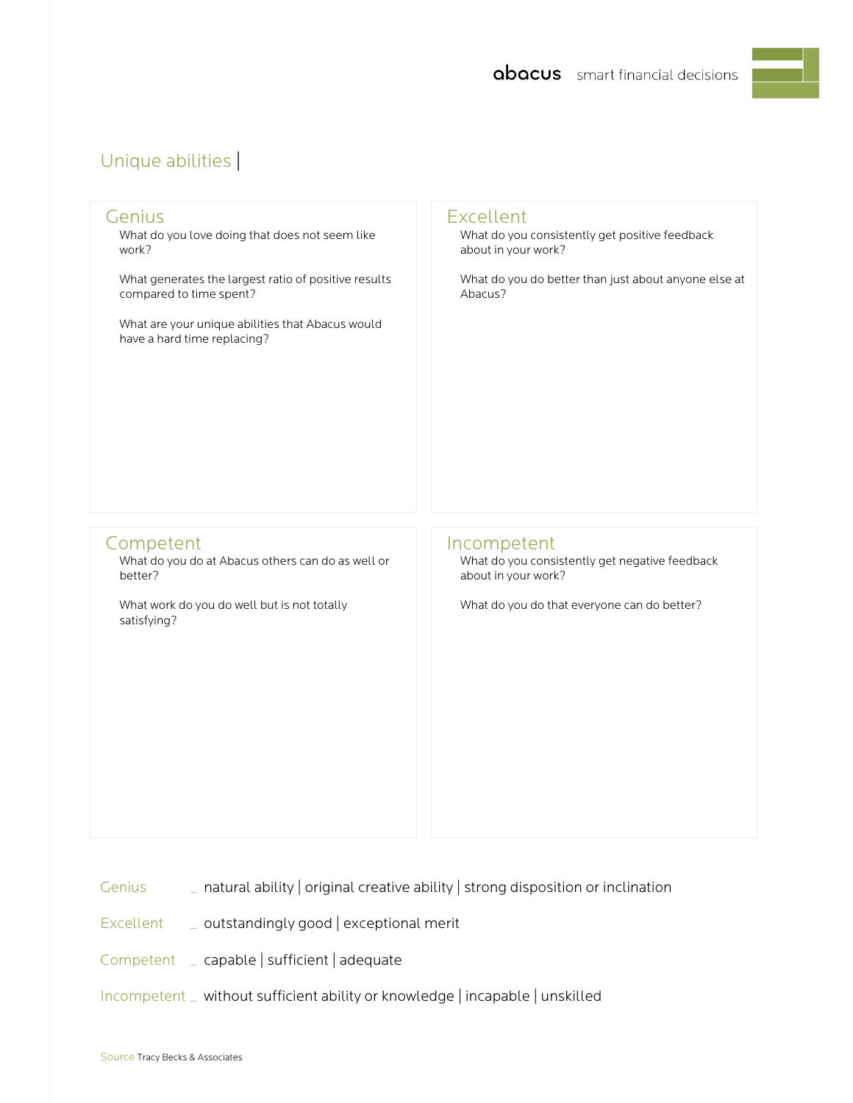## Unique abilities |

| Genius                                                                                                                                  | <b>Excellent</b>                                                                                                                    |
|-----------------------------------------------------------------------------------------------------------------------------------------|-------------------------------------------------------------------------------------------------------------------------------------|
| What do you love doing that does not seem like                                                                                          | What do you consistently get positive feedback                                                                                      |
| work?                                                                                                                                   | about in your work?                                                                                                                 |
| What generates the largest ratio of positive results                                                                                    | What do you do better than just about anyone else at                                                                                |
| compared to time spent?                                                                                                                 | Abacus?                                                                                                                             |
| What are your unique abilities that Abacus would<br>have a hard time replacing?                                                         |                                                                                                                                     |
| Competent<br>What do you do at Abacus others can do as well or<br>better?<br>What work do you do well but is not totally<br>satisfying? | Incompetent<br>What do you consistently get negative feedback<br>about in your work?<br>What do you do that everyone can do better? |

- Genius \_ natural ability | original creative ability | strong disposition or inclination
- Excellent \_ outstandingly good | exceptional merit
- Competent \_ capable | sufficient | adequate
- Incompetent \_ without sufficient ability or knowledge | incapable | unskilled